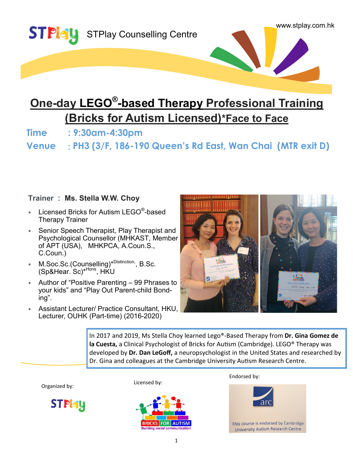

# **One-day LEGO® -based Therapy Professional Training (Bricks for Autism Licensed)\*Face to Face**

**Time : 9:30am-4:30pm**

**Venue** : **PH3 (3/F, 186-190 Queen's Rd East, Wan Chai (MTR exit D)**

### **Trainer : Ms. Stella W.W. Choy**

- $*$  Licensed Bricks for Autism LEGO®-based Therapy Trainer
- Senior Speech Therapist, Play Therapist and Psychological Counsellor (MHKAST, Member of APT (USA), MHKPCA, A.Coun.S., C.Coun.)
- M.Soc.Sc.(Counselling)<sup>\*Distinction</sup>, B.Sc. (Sp&Hear. Sc)<sup>\*Hons</sup>, HKU
- Author of "Positive Parenting 99 Phrases to your kids" and "Play Out Parent-child Bonding".
- Assistant Lecturer/ Practice Consultant, HKU, Lecturer, OUHK (Part-time) (2016-2020)



In 2017 and 2019, Ms Stella Choy learned Lego®-Based Therapy from **Dr. Gina Gomez de la Cuesta,** a Clinical Psychologist of Bricks for Autism (Cambridge). LEGO® Therapy was developed by **Dr. Dan LeGoff,** a neuropsychologist in the United States and researched by Dr. Gina and colleagues at the Cambridge University Autism Research Centre.

Organized by:







Endorsed by:



This course is endorsed by Cambridge **University Autism Research Centre**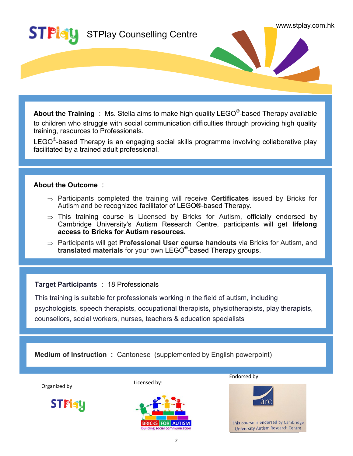

**About the Training** : Ms. Stella aims to make high quality LEGO® -based Therapy available to children who struggle with social communication difficulties through providing high quality training, resources to Professionals.

 $\mathsf{LEGO}^\circ$ -based Therapy is an engaging social skills programme involving collaborative play facilitated by a trained adult professional.

#### **About the Outcome :**

- Participants completed the training will receive **Certificates** issued by Bricks for Autism and be recognized facilitator of LEGO®-based Therapy.
- $\Rightarrow$  This training course is Licensed by Bricks for Autism, officially endorsed by Cambridge University's Autism Research Centre, participants will get **lifelong access to Bricks for Autism resources.**
- Participants will get **Professional User course handouts** via Bricks for Autism, and **translated materials** for your own LEGO® -based Therapy groups.

#### **Target Participants** : 18 Professionals

rarget Participants . To Protessionals<br>This training is suitable for professionals working in the field of autism, including<br>psychologists, speech therapists, occupational therapists, physiotherapists, play therapists, This training is suitable for professionals working in the field of autism, including counsellors, social workers, nurses, teachers & education specialists

**Medium of Instruction :** Cantonese (supplemented by English powerpoint)

Organized by:

**STPlety** 

Licensed by:



Endorsed by:



This course is endorsed by Cambridge **University Autism Research Centre**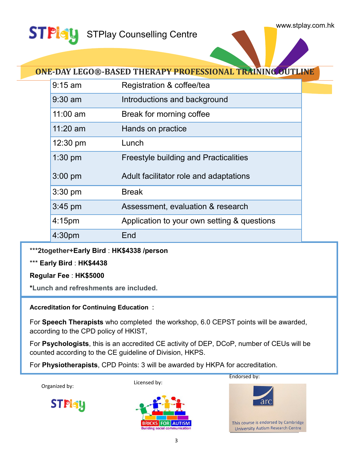\*

#### **STPlety** STPlay Counselling Centre

## **ONE-DAY LEGO®-BASED THERAPY PROFESSIONAL TRAINING OUTLINE**

| $9:15$ am  | Registration & coffee/tea                    |
|------------|----------------------------------------------|
| $9:30$ am  | Introductions and background                 |
| $11:00$ am | Break for morning coffee                     |
| $11:20$ am | Hands on practice                            |
| 12:30 pm   | Lunch                                        |
| $1:30$ pm  | <b>Freestyle building and Practicalities</b> |
| $3:00$ pm  | Adult facilitator role and adaptations       |
| 3:30 pm    | <b>Break</b>                                 |
| $3:45$ pm  | Assessment, evaluation & research            |
| 4:15pm     | Application to your own setting & questions  |
| 4:30pm     | End                                          |

\*\*\***2together+Early Bird** : **HK\$4338 /person**

\*\*\* **Early Bird** : **HK\$4438** 

**Regular Fee** : **HK\$5000** 

**\*Lunch and refreshments are included.**

**Accreditation for Continuing Education :**

For **Speech Therapists** who completed the workshop, 6.0 CEPST points will be awarded, according to the CPD policy of HKIST,

For **Psychologists**, this is an accredited CE activity of DEP, DCoP, number of CEUs will be counted according to the CE guideline of Division, HKPS.

For **Physiotherapists**, CPD Points: 3 will be awarded by HKPA for accreditation.

Organized by:



Licensed by:





Endorsed by:

This course is endorsed by Cambridge **University Autism Research Centre**